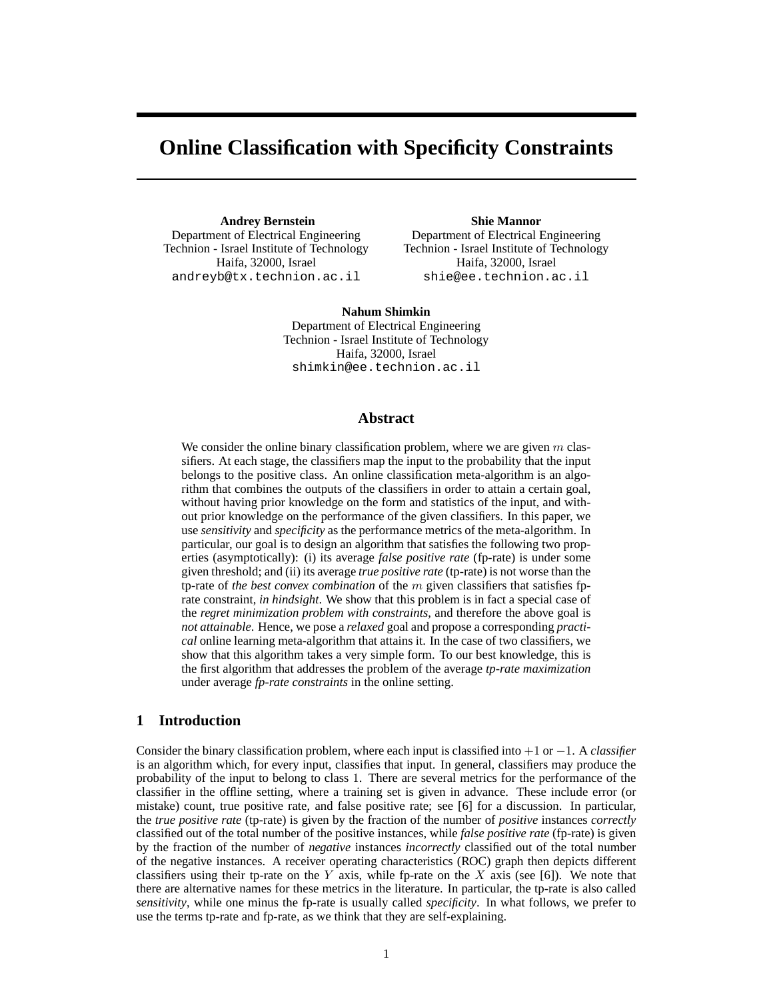# **Online Classification with Specificity Constraints**

**Andrey Bernstein** Department of Electrical Engineering Technion - Israel Institute of Technology Haifa, 32000, Israel andreyb@tx.technion.ac.il

**Shie Mannor**

Department of Electrical Engineering Technion - Israel Institute of Technology Haifa, 32000, Israel shie@ee.technion.ac.il

**Nahum Shimkin** Department of Electrical Engineering Technion - Israel Institute of Technology Haifa, 32000, Israel shimkin@ee.technion.ac.il

### **Abstract**

We consider the online binary classification problem, where we are given  $m$  classifiers. At each stage, the classifiers map the input to the probability that the input belongs to the positive class. An online classification meta-algorithm is an algorithm that combines the outputs of the classifiers in order to attain a certain goal, without having prior knowledge on the form and statistics of the input, and without prior knowledge on the performance of the given classifiers. In this paper, we use *sensitivity* and *specificity* as the performance metrics of the meta-algorithm. In particular, our goal is to design an algorithm that satisfies the following two properties (asymptotically): (i) its average *false positive rate* (fp-rate) is under some given threshold; and (ii) its average *true positive rate* (tp-rate) is not worse than the tp-rate of *the best convex combination* of the m given classifiers that satisfies fprate constraint, *in hindsight*. We show that this problem is in fact a special case of the *regret minimization problem with constraints*, and therefore the above goal is *not attainable*. Hence, we pose a *relaxed* goal and propose a corresponding *practical* online learning meta-algorithm that attains it. In the case of two classifiers, we show that this algorithm takes a very simple form. To our best knowledge, this is the first algorithm that addresses the problem of the average *tp-rate maximization* under average *fp-rate constraints* in the online setting.

# **1 Introduction**

Consider the binary classification problem, where each input is classified into +1 or −1. A *classifier* is an algorithm which, for every input, classifies that input. In general, classifiers may produce the probability of the input to belong to class 1. There are several metrics for the performance of the classifier in the offline setting, where a training set is given in advance. These include error (or mistake) count, true positive rate, and false positive rate; see [6] for a discussion. In particular, the *true positive rate* (tp-rate) is given by the fraction of the number of *positive* instances *correctly* classified out of the total number of the positive instances, while *false positive rate* (fp-rate) is given by the fraction of the number of *negative* instances *incorrectly* classified out of the total number of the negative instances. A receiver operating characteristics (ROC) graph then depicts different classifiers using their tp-rate on the Y axis, while fp-rate on the X axis (see [6]). We note that there are alternative names for these metrics in the literature. In particular, the tp-rate is also called *sensitivity*, while one minus the fp-rate is usually called *specificity*. In what follows, we prefer to use the terms tp-rate and fp-rate, as we think that they are self-explaining.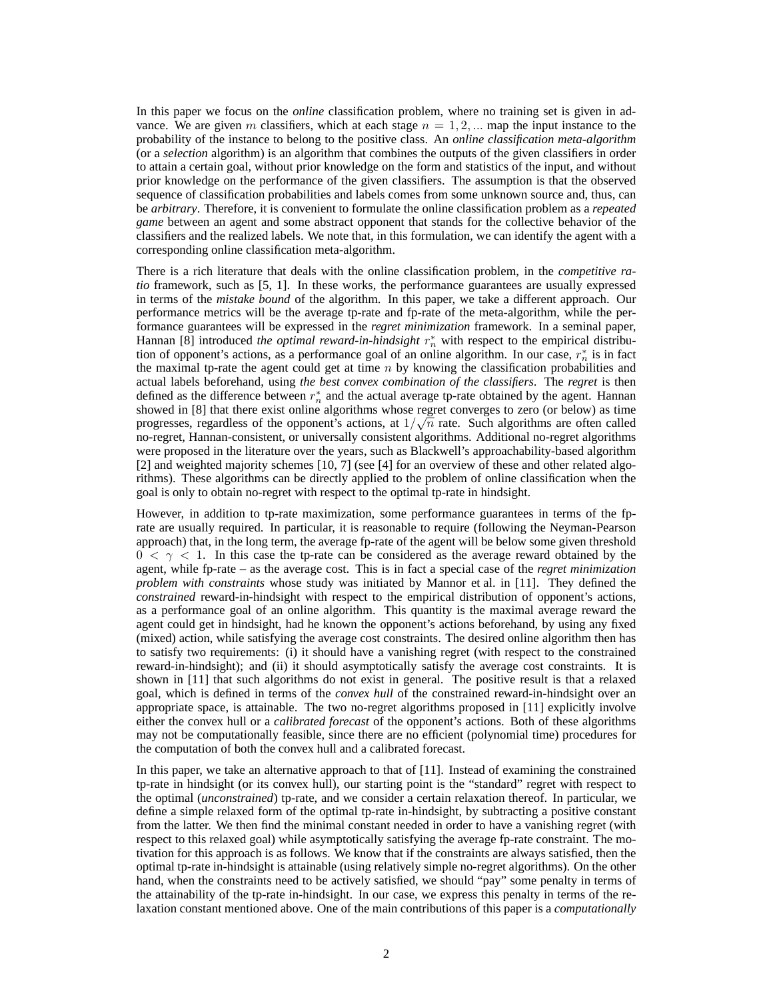In this paper we focus on the *online* classification problem, where no training set is given in advance. We are given m classifiers, which at each stage  $n = 1, 2, \dots$  map the input instance to the probability of the instance to belong to the positive class. An *online classification meta-algorithm* (or a *selection* algorithm) is an algorithm that combines the outputs of the given classifiers in order to attain a certain goal, without prior knowledge on the form and statistics of the input, and without prior knowledge on the performance of the given classifiers. The assumption is that the observed sequence of classification probabilities and labels comes from some unknown source and, thus, can be *arbitrary*. Therefore, it is convenient to formulate the online classification problem as a *repeated game* between an agent and some abstract opponent that stands for the collective behavior of the classifiers and the realized labels. We note that, in this formulation, we can identify the agent with a corresponding online classification meta-algorithm.

There is a rich literature that deals with the online classification problem, in the *competitive ratio* framework, such as [5, 1]. In these works, the performance guarantees are usually expressed in terms of the *mistake bound* of the algorithm. In this paper, we take a different approach. Our performance metrics will be the average tp-rate and fp-rate of the meta-algorithm, while the performance guarantees will be expressed in the *regret minimization* framework. In a seminal paper, Hannan [8] introduced *the optimal reward-in-hindsight*  $r_n^*$  with respect to the empirical distribution of opponent's actions, as a performance goal of an online algorithm. In our case,  $r_n^*$  is in fact the maximal tp-rate the agent could get at time  $n$  by knowing the classification probabilities and actual labels beforehand, using *the best convex combination of the classifiers*. The *regret* is then defined as the difference between  $r_n^*$  and the actual average tp-rate obtained by the agent. Hannan showed in [8] that there exist online algorithms whose regret converges to zero (or below) as time progresses, regardless of the opponent's actions, at  $1/\sqrt{n}$  rate. Such algorithms are often called no-regret, Hannan-consistent, or universally consistent algorithms. Additional no-regret algorithms were proposed in the literature over the years, such as Blackwell's approachability-based algorithm [2] and weighted majority schemes [10, 7] (see [4] for an overview of these and other related algorithms). These algorithms can be directly applied to the problem of online classification when the goal is only to obtain no-regret with respect to the optimal tp-rate in hindsight.

However, in addition to tp-rate maximization, some performance guarantees in terms of the fprate are usually required. In particular, it is reasonable to require (following the Neyman-Pearson approach) that, in the long term, the average fp-rate of the agent will be below some given threshold  $0 < \gamma < 1$ . In this case the tp-rate can be considered as the average reward obtained by the agent, while fp-rate – as the average cost. This is in fact a special case of the *regret minimization problem with constraints* whose study was initiated by Mannor et al. in [11]. They defined the *constrained* reward-in-hindsight with respect to the empirical distribution of opponent's actions, as a performance goal of an online algorithm. This quantity is the maximal average reward the agent could get in hindsight, had he known the opponent's actions beforehand, by using any fixed (mixed) action, while satisfying the average cost constraints. The desired online algorithm then has to satisfy two requirements: (i) it should have a vanishing regret (with respect to the constrained reward-in-hindsight); and (ii) it should asymptotically satisfy the average cost constraints. It is shown in [11] that such algorithms do not exist in general. The positive result is that a relaxed goal, which is defined in terms of the *convex hull* of the constrained reward-in-hindsight over an appropriate space, is attainable. The two no-regret algorithms proposed in [11] explicitly involve either the convex hull or a *calibrated forecast* of the opponent's actions. Both of these algorithms may not be computationally feasible, since there are no efficient (polynomial time) procedures for the computation of both the convex hull and a calibrated forecast.

In this paper, we take an alternative approach to that of [11]. Instead of examining the constrained tp-rate in hindsight (or its convex hull), our starting point is the "standard" regret with respect to the optimal (*unconstrained*) tp-rate, and we consider a certain relaxation thereof. In particular, we define a simple relaxed form of the optimal tp-rate in-hindsight, by subtracting a positive constant from the latter. We then find the minimal constant needed in order to have a vanishing regret (with respect to this relaxed goal) while asymptotically satisfying the average fp-rate constraint. The motivation for this approach is as follows. We know that if the constraints are always satisfied, then the optimal tp-rate in-hindsight is attainable (using relatively simple no-regret algorithms). On the other hand, when the constraints need to be actively satisfied, we should "pay" some penalty in terms of the attainability of the tp-rate in-hindsight. In our case, we express this penalty in terms of the relaxation constant mentioned above. One of the main contributions of this paper is a *computationally*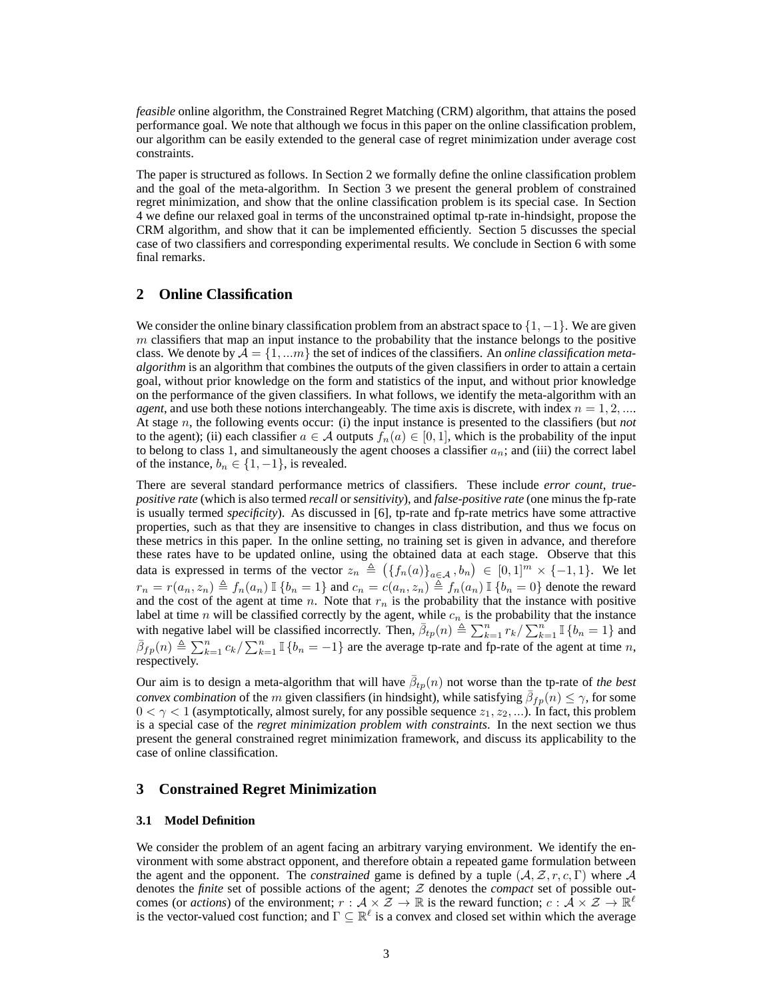*feasible* online algorithm, the Constrained Regret Matching (CRM) algorithm, that attains the posed performance goal. We note that although we focus in this paper on the online classification problem, our algorithm can be easily extended to the general case of regret minimization under average cost constraints.

The paper is structured as follows. In Section 2 we formally define the online classification problem and the goal of the meta-algorithm. In Section 3 we present the general problem of constrained regret minimization, and show that the online classification problem is its special case. In Section 4 we define our relaxed goal in terms of the unconstrained optimal tp-rate in-hindsight, propose the CRM algorithm, and show that it can be implemented efficiently. Section 5 discusses the special case of two classifiers and corresponding experimental results. We conclude in Section 6 with some final remarks.

# **2 Online Classification**

We consider the online binary classification problem from an abstract space to  $\{1, -1\}$ . We are given  $m$  classifiers that map an input instance to the probability that the instance belongs to the positive class. We denote by  $A = \{1, ...m\}$  the set of indices of the classifiers. An *online classification metaalgorithm* is an algorithm that combines the outputs of the given classifiers in order to attain a certain goal, without prior knowledge on the form and statistics of the input, and without prior knowledge on the performance of the given classifiers. In what follows, we identify the meta-algorithm with an *agent*, and use both these notions interchangeably. The time axis is discrete, with index  $n = 1, 2, ...$ At stage n, the following events occur: (i) the input instance is presented to the classifiers (but *not* to the agent); (ii) each classifier  $a \in \mathcal{A}$  outputs  $f_n(a) \in [0,1]$ , which is the probability of the input to belong to class 1, and simultaneously the agent chooses a classifier  $a_n$ ; and (iii) the correct label of the instance,  $b_n \in \{1, -1\}$ , is revealed.

There are several standard performance metrics of classifiers. These include *error count*, *truepositive rate* (which is also termed *recall* or *sensitivity*), and *false-positive rate* (one minus the fp-rate is usually termed *specificity*). As discussed in [6], tp-rate and fp-rate metrics have some attractive properties, such as that they are insensitive to changes in class distribution, and thus we focus on these metrics in this paper. In the online setting, no training set is given in advance, and therefore these rates have to be updated online, using the obtained data at each stage. Observe that this data is expressed in terms of the vector  $z_n \triangleq (\{f_n(a)\}_{a \in \mathcal{A}}, b_n) \in [0,1]^m \times \{-1,1\}$ . We let  $r_n = r(a_n, z_n) \triangleq f_n(a_n) \mathbb{I} \{b_n = 1\}$  and  $c_n = c(a_n, z_n) \triangleq f_n(a_n) \mathbb{I} \{b_n = 0\}$  denote the reward and the cost of the agent at time n. Note that  $r_n$  is the probability that the instance with positive label at time n will be classified correctly by the agent, while  $c_n$  is the probability that the instance with negative label will be classified incorrectly. Then,  $\bar{\beta}_{tp}(n) \triangleq \sum_{k=1}^{n} r_k / \sum_{k=1}^{n} \mathbb{I} \{b_n = 1\}$  and  $\bar{\beta}_{fp}(n) \triangleq \sum_{k=1}^{n} c_k / \sum_{k=1}^{n} \mathbb{I} \{b_n = -1\}$  are the average tp-rate and fp-rate of the agent at time n, respectively.

Our aim is to design a meta-algorithm that will have  $\bar{\beta}_{tp}(n)$  not worse than the tp-rate of *the best convex combination* of the *m* given classifiers (in hindsight), while satisfying  $\bar{\beta}_{fp}(n) \leq \gamma$ , for some  $0 < \gamma < 1$  (asymptotically, almost surely, for any possible sequence  $z_1, z_2, \ldots$ ). In fact, this problem is a special case of the *regret minimization problem with constraints*. In the next section we thus present the general constrained regret minimization framework, and discuss its applicability to the case of online classification.

### **3 Constrained Regret Minimization**

#### **3.1 Model Definition**

We consider the problem of an agent facing an arbitrary varying environment. We identify the environment with some abstract opponent, and therefore obtain a repeated game formulation between the agent and the opponent. The *constrained* game is defined by a tuple  $(A, \mathcal{Z}, r, c, \Gamma)$  where A denotes the *finite* set of possible actions of the agent; Z denotes the *compact* set of possible outcomes (or *actions*) of the environment;  $r : A \times \tilde{Z} \to \mathbb{R}$  is the reward function;  $c : A \times \tilde{Z} \to \mathbb{R}^{\ell}$ is the vector-valued cost function; and  $\Gamma \subseteq \mathbb{R}^{\ell}$  is a convex and closed set within which the average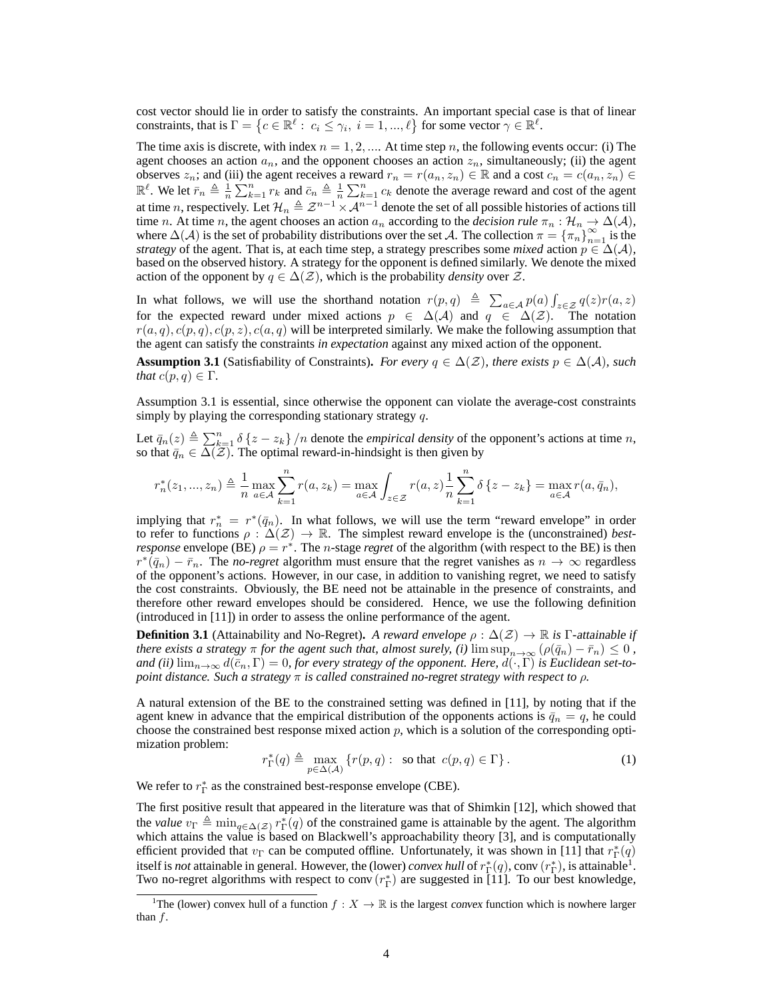cost vector should lie in order to satisfy the constraints. An important special case is that of linear constraints, that is  $\Gamma = \{c \in \mathbb{R}^{\ell} : c_i \leq \gamma_i, i = 1, ..., \ell\}$  for some vector  $\gamma \in \mathbb{R}^{\ell}$ .

The time axis is discrete, with index  $n = 1, 2, \dots$  At time step n, the following events occur: (i) The agent chooses an action  $a_n$ , and the opponent chooses an action  $z_n$ , simultaneously; (ii) the agent observes  $z_n$ ; and (iii) the agent receives a reward  $r_n = r(a_n, z_n) \in \mathbb{R}$  and a cost  $c_n = c(a_n, z_n) \in \mathbb{R}$  $\mathbb{R}^{\ell}$ . We let  $\bar{r}_n \triangleq \frac{1}{n} \sum_{k=1}^n r_k$  and  $\bar{c}_n \triangleq \frac{1}{n} \sum_{k=1}^n c_k$  denote the average reward and cost of the agent at time n, respectively. Let  $\mathcal{H}_n \triangleq \mathcal{Z}^{n-1} \times \mathcal{A}^{n-1}$  denote the set of all possible histories of actions till time *n*. At time *n*, the agent chooses an action  $a_n$  according to the *decision rule*  $\pi_n : \mathcal{H}_n \to \Delta(\mathcal{A})$ , where  $\Delta(A)$  is the set of probability distributions over the set A. The collection  $\pi = {\pi_n}_{n=1}^{\infty}$  is the *strategy* of the agent. That is, at each time step, a strategy prescribes some *mixed* action  $p \in \Delta(\mathcal{A})$ , based on the observed history. A strategy for the opponent is defined similarly. We denote the mixed action of the opponent by  $q \in \Delta(\mathcal{Z})$ , which is the probability *density* over  $\mathcal{Z}$ .

In what follows, we will use the shorthand notation  $r(p,q) \triangleq \sum_{a \in A} p(a) \int_{z \in \mathcal{Z}} q(z) r(a,z)$ for the expected reward under mixed actions  $p \in \Delta(\mathcal{A})$  and  $q \in \Delta(\mathcal{Z})$ . The notation  $r(a,q)$ ,  $c(p,q)$ ,  $c(p,z)$ ,  $c(a,q)$  will be interpreted similarly. We make the following assumption that the agent can satisfy the constraints *in expectation* against any mixed action of the opponent.

**Assumption 3.1** (Satisfiability of Constraints). *For every*  $q \in \Delta(\mathcal{Z})$ *, there exists*  $p \in \Delta(\mathcal{A})$ *, such that*  $c(p, q) \in \Gamma$ *.* 

Assumption 3.1 is essential, since otherwise the opponent can violate the average-cost constraints simply by playing the corresponding stationary strategy  $q$ .

Let  $\bar{q}_n(z) \triangleq \sum_{k=1}^n \delta(z - z_k) / n$  denote the *empirical density* of the opponent's actions at time n, so that  $\bar{q}_n \in \Delta(\mathcal{Z})$ . The optimal reward-in-hindsight is then given by

$$
r_n^*(z_1, ..., z_n) \triangleq \frac{1}{n} \max_{a \in A} \sum_{k=1}^n r(a, z_k) = \max_{a \in A} \int_{z \in \mathcal{Z}} r(a, z) \frac{1}{n} \sum_{k=1}^n \delta\{z - z_k\} = \max_{a \in A} r(a, \bar{q}_n),
$$

implying that  $r_n^* = r^*(\bar{q}_n)$ . In what follows, we will use the term "reward envelope" in order to refer to functions  $\rho : \Delta(\mathcal{Z}) \to \mathbb{R}$ . The simplest reward envelope is the (unconstrained) *bestresponse* envelope (BE)  $\rho = r^*$ . The *n*-stage *regret* of the algorithm (with respect to the BE) is then  $r^*(\bar{q}_n) - \bar{r}_n$ . The *no-regret* algorithm must ensure that the regret vanishes as  $n \to \infty$  regardless of the opponent's actions. However, in our case, in addition to vanishing regret, we need to satisfy the cost constraints. Obviously, the BE need not be attainable in the presence of constraints, and therefore other reward envelopes should be considered. Hence, we use the following definition (introduced in [11]) in order to assess the online performance of the agent.

**Definition 3.1** (Attainability and No-Regret). *A reward envelope*  $\rho : \Delta(\mathcal{Z}) \to \mathbb{R}$  *is*  $\Gamma$ -attainable *if there exists a strategy*  $\pi$  *for the agent such that, almost surely, (i)*  $\limsup_{n\to\infty}$   $(\rho(\bar{q}_n) - \bar{r}_n) \leq 0$ , and (ii)  $\lim_{n\to\infty} d(\bar{c}_n, \Gamma) = 0$ , for every strategy of the opponent. Here,  $d(\cdot, \Gamma)$  is Euclidean set-to*point distance. Such a strategy* π *is called* constrained no-regret *strategy with respect to* ρ*.*

A natural extension of the BE to the constrained setting was defined in [11], by noting that if the agent knew in advance that the empirical distribution of the opponents actions is  $\bar{q}_n = q$ , he could choose the constrained best response mixed action  $p$ , which is a solution of the corresponding optimization problem:

$$
r_{\Gamma}^*(q) \triangleq \max_{p \in \Delta(\mathcal{A})} \left\{ r(p,q) : \text{ so that } c(p,q) \in \Gamma \right\}. \tag{1}
$$

We refer to  $r_{\Gamma}^{*}$  as the constrained best-response envelope (CBE).

The first positive result that appeared in the literature was that of Shimkin [12], which showed that the *value*  $v_{\Gamma} \triangleq \min_{q \in \Delta(\mathcal{Z})} r_{\Gamma}^{*}(q)$  of the constrained game is attainable by the agent. The algorithm which attains the value is based on Blackwell's approachability theory [3], and is computationally efficient provided that  $v_{\Gamma}$  can be computed offline. Unfortunately, it was shown in [11] that  $r_{\Gamma}^*(q)$ itself is *not* attainable in general. However, the (lower) *convex hull* of  $r_{\Gamma}^*(q)$ , conv $(r_{\Gamma}^*)$ , is attainable<sup>1</sup>. Two no-regret algorithms with respect to conv $(r_{\Gamma}^*)$  are suggested in [11]. To our best knowledge,

<sup>&</sup>lt;sup>1</sup>The (lower) convex hull of a function  $f: X \to \mathbb{R}$  is the largest convex function which is nowhere larger than  $f$ .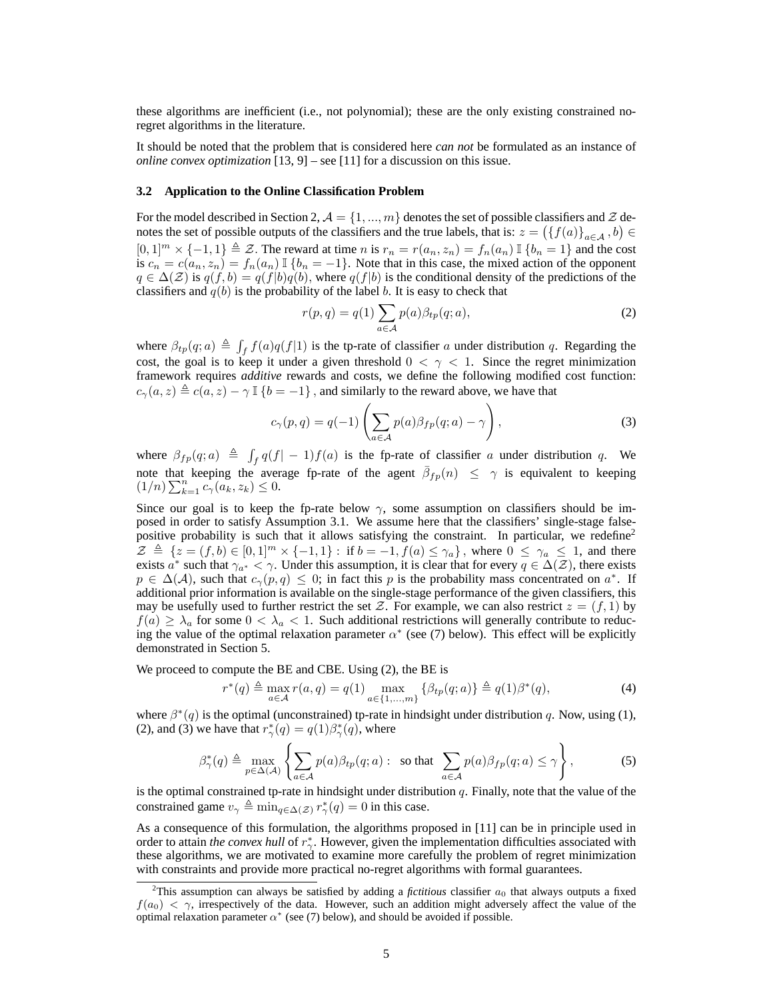these algorithms are inefficient (i.e., not polynomial); these are the only existing constrained noregret algorithms in the literature.

It should be noted that the problem that is considered here *can not* be formulated as an instance of *online convex optimization* [13, 9] – see [11] for a discussion on this issue.

#### **3.2 Application to the Online Classification Problem**

For the model described in Section 2,  $\mathcal{A} = \{1, ..., m\}$  denotes the set of possible classifiers and  $\mathcal{Z}$  denotes the set of possible outputs of the classifiers and the true labels, that is:  $z = (\{f(a)\}_{a \in \mathcal{A}}, b) \in$  $[0,1]^m \times \{-1,1\} \triangleq \mathcal{Z}$ . The reward at time n is  $r_n = r(a_n, z_n) = f_n(a_n) \mathbb{I} \{b_n = 1\}$  and the cost is  $c_n = c(a_n, z_n) = f_n(a_n) \mathbb{I} \{b_n = -1\}$ . Note that in this case, the mixed action of the opponent  $q \in \Delta(\mathcal{Z})$  is  $q(f, b) = q(f|b)q(b)$ , where  $q(f|b)$  is the conditional density of the predictions of the classifiers and  $q(b)$  is the probability of the label b. It is easy to check that

$$
r(p,q) = q(1) \sum_{a \in \mathcal{A}} p(a) \beta_{tp}(q;a), \qquad (2)
$$

where  $\beta_{tp}(q; a) \triangleq \int_f f(a)q(f|1)$  is the tp-rate of classifier a under distribution q. Regarding the cost, the goal is to keep it under a given threshold  $0 < \gamma < 1$ . Since the regret minimization framework requires *additive* rewards and costs, we define the following modified cost function:  $c_{\gamma}(a, z) \triangleq c(a, z) - \gamma \mathbb{I} \{b = -1\}$ , and similarly to the reward above, we have that

$$
c_{\gamma}(p,q) = q(-1) \left( \sum_{a \in \mathcal{A}} p(a) \beta_{fp}(q;a) - \gamma \right), \qquad (3)
$$

where  $\beta_{fp}(q; a) \triangleq \int_f q(f| - 1) f(a)$  is the fp-rate of classifier a under distribution q. We note that keeping the average fp-rate of the agent  $\bar{\beta}_{fp}(n) \leq \gamma$  is equivalent to keeping  $(1/n) \sum_{k=1}^{n} c_{\gamma}(a_k, z_k) \leq 0$ .

Since our goal is to keep the fp-rate below  $\gamma$ , some assumption on classifiers should be imposed in order to satisfy Assumption 3.1. We assume here that the classifiers' single-stage falsepositive probability is such that it allows satisfying the constraint. In particular, we redefine<sup>2</sup>  $\mathcal{Z} \triangleq \{z = (f, b) \in [0, 1]^m \times \{-1, 1\} : \text{if } b = -1, f(a) \leq \gamma_a\}$ , where  $0 \leq \gamma_a \leq 1$ , and there exists  $a^*$  such that  $\gamma_{a^*} < \gamma$ . Under this assumption, it is clear that for every  $q \in \Delta(\mathcal{Z})$ , there exists  $p \in \Delta(\mathcal{A})$ , such that  $c_{\gamma}(p,q) \leq 0$ ; in fact this p is the probability mass concentrated on  $a^*$ . If additional prior information is available on the single-stage performance of the given classifiers, this may be usefully used to further restrict the set Z. For example, we can also restrict  $z = (f, 1)$  by  $f(a) \geq \lambda_a$  for some  $0 < \lambda_a < 1$ . Such additional restrictions will generally contribute to reducing the value of the optimal relaxation parameter  $\alpha^*$  (see (7) below). This effect will be explicitly demonstrated in Section 5.

We proceed to compute the BE and CBE. Using (2), the BE is

$$
r^*(q) \triangleq \max_{a \in \mathcal{A}} r(a, q) = q(1) \max_{a \in \{1, \dots, m\}} \{ \beta_{tp}(q; a) \} \triangleq q(1) \beta^*(q),
$$
 (4)

where  $\beta^*(q)$  is the optimal (unconstrained) tp-rate in hindsight under distribution q. Now, using (1), (2), and (3) we have that  $r^*_{\gamma}(q) = q(1)\beta^*_{\gamma}(q)$ , where

$$
\beta_{\gamma}^*(q) \triangleq \max_{p \in \Delta(\mathcal{A})} \left\{ \sum_{a \in \mathcal{A}} p(a) \beta_{tp}(q; a) : \text{ so that } \sum_{a \in \mathcal{A}} p(a) \beta_{fp}(q; a) \leq \gamma \right\},\tag{5}
$$

is the optimal constrained tp-rate in hindsight under distribution  $q$ . Finally, note that the value of the constrained game  $v_{\gamma} \triangleq \min_{q \in \Delta(\mathcal{Z})} r_{\gamma}^*(q) = 0$  in this case.

As a consequence of this formulation, the algorithms proposed in [11] can be in principle used in order to attain *the convex hull* of  $r^*_{\gamma}$ . However, given the implementation difficulties associated with these algorithms, we are motivated to examine more carefully the problem of regret minimization with constraints and provide more practical no-regret algorithms with formal guarantees.

<sup>&</sup>lt;sup>2</sup>This assumption can always be satisfied by adding a *fictitious* classifier  $a_0$  that always outputs a fixed  $f(a_0) < \gamma$ , irrespectively of the data. However, such an addition might adversely affect the value of the optimal relaxation parameter  $\alpha^*$  (see (7) below), and should be avoided if possible.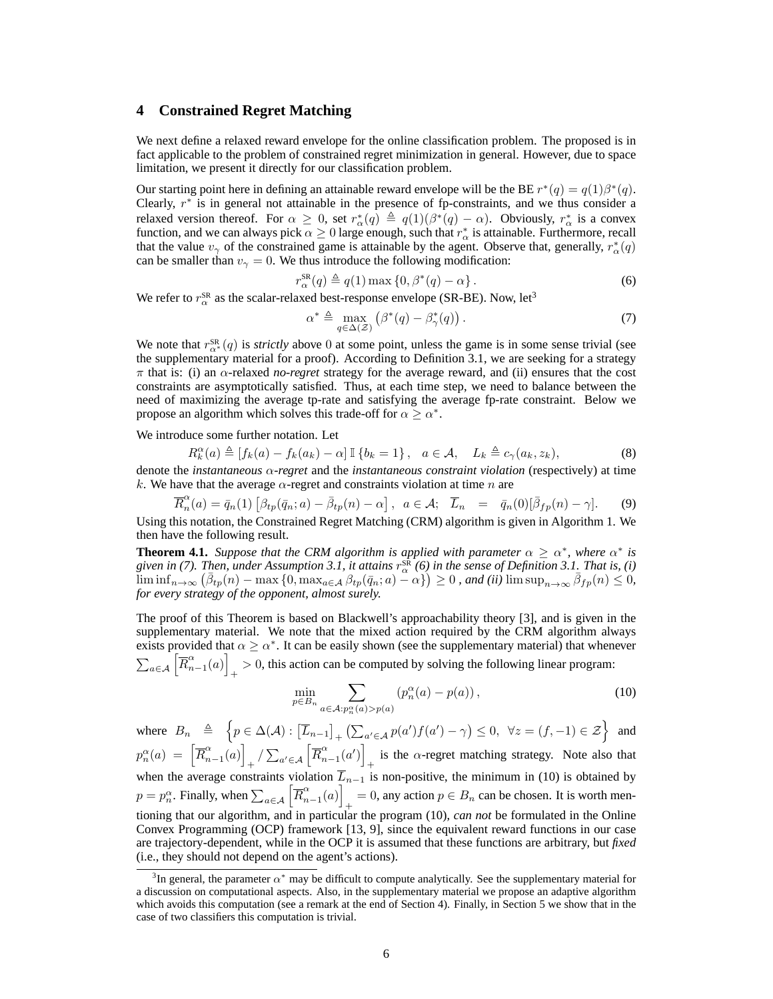# **4 Constrained Regret Matching**

We next define a relaxed reward envelope for the online classification problem. The proposed is in fact applicable to the problem of constrained regret minimization in general. However, due to space limitation, we present it directly for our classification problem.

Our starting point here in defining an attainable reward envelope will be the BE  $r^*(q) = q(1)\beta^*(q)$ . Clearly,  $r^*$  is in general not attainable in the presence of fp-constraints, and we thus consider a relaxed version thereof. For  $\alpha \geq 0$ , set  $r^*_{\alpha}(q) \triangleq q(1)(\beta^*(q) - \alpha)$ . Obviously,  $r^*_{\alpha}$  is a convex function, and we can always pick  $\alpha \ge 0$  large enough, such that  $r^*_{\alpha}$  is attainable. Furthermore, recall that the value  $v_{\gamma}$  of the constrained game is attainable by the agent. Observe that, generally,  $r_{\alpha}^*(q)$ can be smaller than  $v_\gamma = 0$ . We thus introduce the following modification:

$$
r_{\alpha}^{\text{SR}}(q) \triangleq q(1) \max\left\{0, \beta^*(q) - \alpha\right\}.
$$
 (6)

We refer to  $r_{\alpha}^{\text{SR}}$  as the scalar-relaxed best-response envelope (SR-BE). Now, let<sup>3</sup>

$$
\alpha^* \triangleq \max_{q \in \Delta(\mathcal{Z})} \left( \beta^*(q) - \beta^*(q) \right). \tag{7}
$$

We note that  $r_{\alpha^*}^{SR}(q)$  is *strictly* above 0 at some point, unless the game is in some sense trivial (see the supplementary material for a proof). According to Definition 3.1, we are seeking for a strategy  $\pi$  that is: (i) an  $\alpha$ -relaxed *no-regret* strategy for the average reward, and (ii) ensures that the cost constraints are asymptotically satisfied. Thus, at each time step, we need to balance between the need of maximizing the average tp-rate and satisfying the average fp-rate constraint. Below we propose an algorithm which solves this trade-off for  $\alpha \ge \alpha^*$ .

We introduce some further notation. Let

R

$$
R_k^{\alpha}(a) \triangleq [f_k(a) - f_k(a_k) - \alpha] \mathbb{I} \{b_k = 1\}, \quad a \in \mathcal{A}, \quad L_k \triangleq c_{\gamma}(a_k, z_k), \tag{8}
$$

denote the *instantaneous* α*-regret* and the *instantaneous constraint violation* (respectively) at time k. We have that the average  $\alpha$ -regret and constraints violation at time n are

$$
\overline{R}_n^{\alpha}(a) = \overline{q}_n(1) \left[ \beta_{tp}(\overline{q}_n; a) - \overline{\beta}_{tp}(n) - \alpha \right], \ a \in \mathcal{A}; \quad \overline{L}_n = \overline{q}_n(0) [\overline{\beta}_{fp}(n) - \gamma]. \tag{9}
$$

Using this notation, the Constrained Regret Matching (CRM) algorithm is given in Algorithm 1. We then have the following result.

**Theorem 4.1.** *Suppose that the CRM algorithm is applied with parameter*  $\alpha \geq \alpha^*$ , *where*  $\alpha^*$  *is* given in (7). Then, under Assumption 3.1, it attains  $r_\alpha^{\rm SR}$  (6) in the sense of Definition 3.1. That is, (i)  $\liminf_{n\to\infty} (\bar{\beta}_{tp}(n) - \max\{0, \max_{a\in\mathcal{A}} \beta_{tp}(\bar{q}_n; a) - \alpha\}) \geq 0$ , and (ii)  $\limsup_{n\to\infty} \bar{\beta}_{fp}(n) \leq 0$ , *for every strategy of the opponent, almost surely.*

The proof of this Theorem is based on Blackwell's approachability theory [3], and is given in the supplementary material. We note that the mixed action required by the CRM algorithm always exists provided that  $\alpha \ge \alpha^*$ . It can be easily shown (see the supplementary material) that whenever  $\sum_{a \in \mathcal{A}} \left\lceil \overline{R}^\alpha_n \right\rceil$  $\binom{\alpha}{n-1}(a)$  $\gamma > 0$ , this action can be computed by solving the following linear program:

$$
\min_{p \in B_n} \sum_{a \in \mathcal{A}: p_n^{\alpha}(a) > p(a)} \left( p_n^{\alpha}(a) - p(a) \right),\tag{10}
$$

where  $B_n \triangleq \left\{ p \in \Delta(\mathcal{A}) : [\overline{L}_{n-1}]_+ (\sum_{a' \in \mathcal{A}} p(a')f(a') - \gamma) \leq 0, \forall z = (f, -1) \in \mathcal{Z} \right\}$  and  $p_n^{\alpha}(a) = \left[\overline{R}_n^{\alpha}\right]$  $\binom{\alpha}{n-1}(a)$  $_{+}$  /  $\sum_{a'\in\mathcal{A}}$   $\left[\overline{R}_{n}^{\alpha}\right]$  $\binom{\alpha}{n-1}(a')$ is the  $\alpha$ -regret matching strategy. Note also that when the average constraints violation  $\overline{L}_{n-1}$  is non-positive, the minimum in (10) is obtained by  $p = p_n^{\alpha}$ . Finally, when  $\sum_{a \in \mathcal{A}} \left| \overline{R}_n^{\alpha} \right|$  $\binom{\alpha}{n-1}(a)$  $= 0$ , any action  $p \in B_n$  can be chosen. It is worth mentioning that our algorithm, and in particular the program (10), *can not* be formulated in the Online Convex Programming (OCP) framework [13, 9], since the equivalent reward functions in our case are trajectory-dependent, while in the OCP it is assumed that these functions are arbitrary, but *fixed* (i.e., they should not depend on the agent's actions).

<sup>&</sup>lt;sup>3</sup>In general, the parameter  $\alpha^*$  may be difficult to compute analytically. See the supplementary material for a discussion on computational aspects. Also, in the supplementary material we propose an adaptive algorithm which avoids this computation (see a remark at the end of Section 4). Finally, in Section 5 we show that in the case of two classifiers this computation is trivial.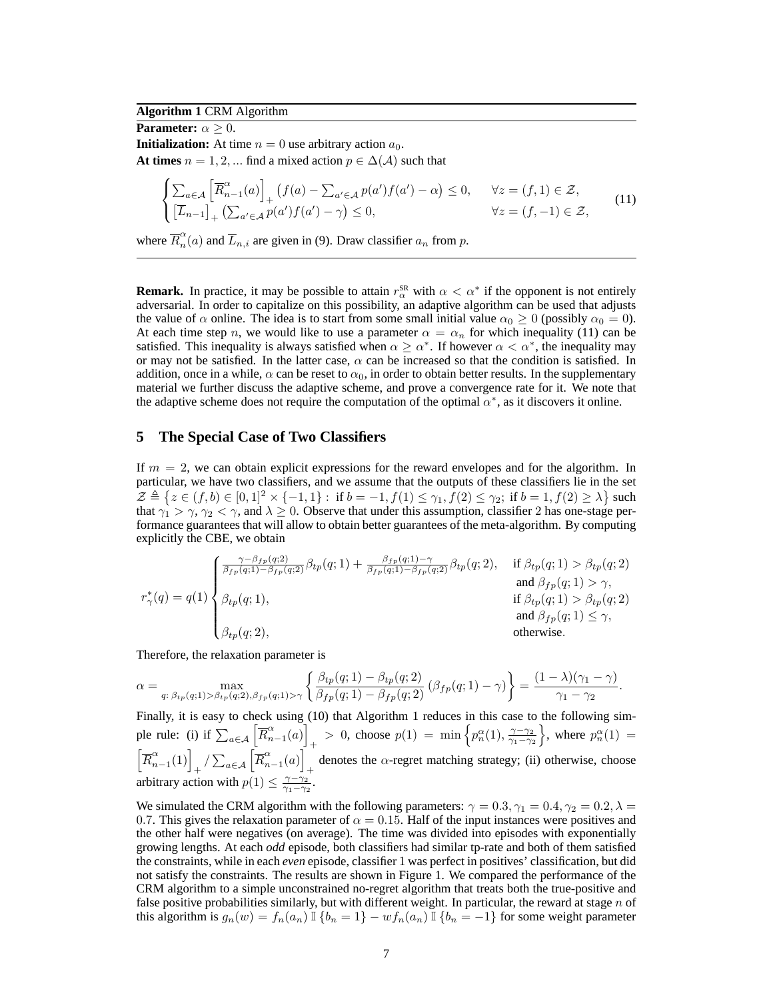## **Algorithm 1** CRM Algorithm

**Parameter:**  $\alpha \geq 0$ . **Initialization:** At time  $n = 0$  use arbitrary action  $a_0$ . **At times**  $n = 1, 2, ...$  find a mixed action  $p \in \Delta(\mathcal{A})$  such that

$$
\int \sum_{a \in \mathcal{A}} \left[ \overline{R}_{n-1}^{\alpha}(a) \right]_{+} \left( f(a) - \sum_{a' \in \mathcal{A}} p(a') f(a') - \alpha \right) \leq 0, \quad \forall z = (f, 1)
$$

$$
\begin{cases} \sum_{a \in \mathcal{A}} \left[ R_{n-1}^{\alpha}(a) \right]_{+} \left( f(a) - \sum_{a' \in \mathcal{A}} p(a') f(a') - \alpha \right) \le 0, & \forall z = (f, 1) \in \mathcal{Z}, \\ \left[ \overline{L}_{n-1} \right]_{+} \left( \sum_{a' \in \mathcal{A}} p(a') f(a') - \gamma \right) \le 0, & \forall z = (f, -1) \in \mathcal{Z}, \end{cases} (11)
$$

where  $\overline{R}_{n}^{\alpha}$  $n(n)$  and  $L_{n,i}$  are given in (9). Draw classifier  $a_n$  from p.

**Remark.** In practice, it may be possible to attain  $r_\alpha^{\text{SR}}$  with  $\alpha < \alpha^*$  if the opponent is not entirely adversarial. In order to capitalize on this possibility, an adaptive algorithm can be used that adjusts the value of  $\alpha$  online. The idea is to start from some small initial value  $\alpha_0 \ge 0$  (possibly  $\alpha_0 = 0$ ). At each time step n, we would like to use a parameter  $\alpha = \alpha_n$  for which inequality (11) can be satisfied. This inequality is always satisfied when  $\alpha \ge \alpha^*$ . If however  $\alpha < \alpha^*$ , the inequality may or may not be satisfied. In the latter case,  $\alpha$  can be increased so that the condition is satisfied. In addition, once in a while,  $\alpha$  can be reset to  $\alpha_0$ , in order to obtain better results. In the supplementary material we further discuss the adaptive scheme, and prove a convergence rate for it. We note that the adaptive scheme does not require the computation of the optimal  $\alpha^*$ , as it discovers it online.

### **5 The Special Case of Two Classifiers**

If  $m = 2$ , we can obtain explicit expressions for the reward envelopes and for the algorithm. In particular, we have two classifiers, and we assume that the outputs of these classifiers lie in the set  $\mathcal{Z} \triangleq \{ z \in (f, b) \in [0, 1]^2 \times \{-1, 1\} : \text{ if } b = -1, f(1) \leq \gamma_1, f(2) \leq \gamma_2 \text{; if } b = 1, f(2) \geq \lambda \} \text{ such}$ that  $\gamma_1 > \gamma$ ,  $\gamma_2 < \gamma$ , and  $\lambda \ge 0$ . Observe that under this assumption, classifier 2 has one-stage performance guarantees that will allow to obtain better guarantees of the meta-algorithm. By computing explicitly the CBE, we obtain

$$
r_{\gamma}^{*}(q) = q(1) \begin{cases} \frac{\gamma - \beta_{fp}(q;2)}{\beta_{fp}(q;1) - \beta_{fp}(q;2)} \beta_{tp}(q;1) + \frac{\beta_{fp}(q;1) - \gamma}{\beta_{fp}(q;1) - \beta_{fp}(q;2)} \beta_{tp}(q;2), & \text{if } \beta_{tp}(q;1) > \beta_{tp}(q;2) \\ \beta_{tp}(q;1), & \text{if } \beta_{tp}(q;1) > \gamma, \\ \beta_{tp}(q;1), & \text{if } \beta_{tp}(q;1) > \beta_{tp}(q;2) \\ \beta_{tp}(q;2), & \text{otherwise.} \end{cases}
$$

Therefore, the relaxation parameter is

$$
\alpha = \max_{q: \ \beta_{tp}(q;1) > \beta_{tp}(q;2), \beta_{fp}(q;1) > \gamma} \left\{ \frac{\beta_{tp}(q;1) - \beta_{tp}(q;2)}{\beta_{fp}(q;1) - \beta_{fp}(q;2)} \left(\beta_{fp}(q;1) - \gamma\right) \right\} = \frac{(1-\lambda)(\gamma_1 - \gamma)}{\gamma_1 - \gamma_2}.
$$

Finally, it is easy to check using (10) that Algorithm 1 reduces in this case to the following simple rule: (i) if  $\sum_{a \in A} \left| \overline{R}^{\alpha}_n \right|$  $\binom{\alpha}{n-1}(a)$  $+$  > 0, choose  $p(1) = \min \left\{ p_n^{\alpha}(1), \frac{\gamma - \gamma_2}{\gamma_1 - \gamma_2} \right\}$ , where  $p_n^{\alpha}(1) =$  $\left[\overline{R}_{n}^{\alpha}\right]$  $\left(\begin{matrix} \alpha & \lambda \\ n-1 & 1 \end{matrix}\right)_+ / \sum_{a \in \mathcal{A}} \left[\overline{R}^\alpha_n\right]$  $\binom{\alpha}{n-1}(a)$ denotes the  $\alpha$ -regret matching strategy; (ii) otherwise, choose + arbitrary action with  $p(1) \leq \frac{\gamma - \gamma_2}{\gamma_1 - \gamma_2}$ .

We simulated the CRM algorithm with the following parameters:  $\gamma = 0.3, \gamma_1 = 0.4, \gamma_2 = 0.2, \lambda =$ 0.7. This gives the relaxation parameter of  $\alpha = 0.15$ . Half of the input instances were positives and the other half were negatives (on average). The time was divided into episodes with exponentially growing lengths. At each *odd* episode, both classifiers had similar tp-rate and both of them satisfied the constraints, while in each *even* episode, classifier 1 was perfect in positives' classification, but did not satisfy the constraints. The results are shown in Figure 1. We compared the performance of the CRM algorithm to a simple unconstrained no-regret algorithm that treats both the true-positive and false positive probabilities similarly, but with different weight. In particular, the reward at stage  $n$  of this algorithm is  $g_n(w) = f_n(a_n) \mathbb{I} \{b_n = 1\} - wf_n(a_n) \mathbb{I} \{b_n = -1\}$  for some weight parameter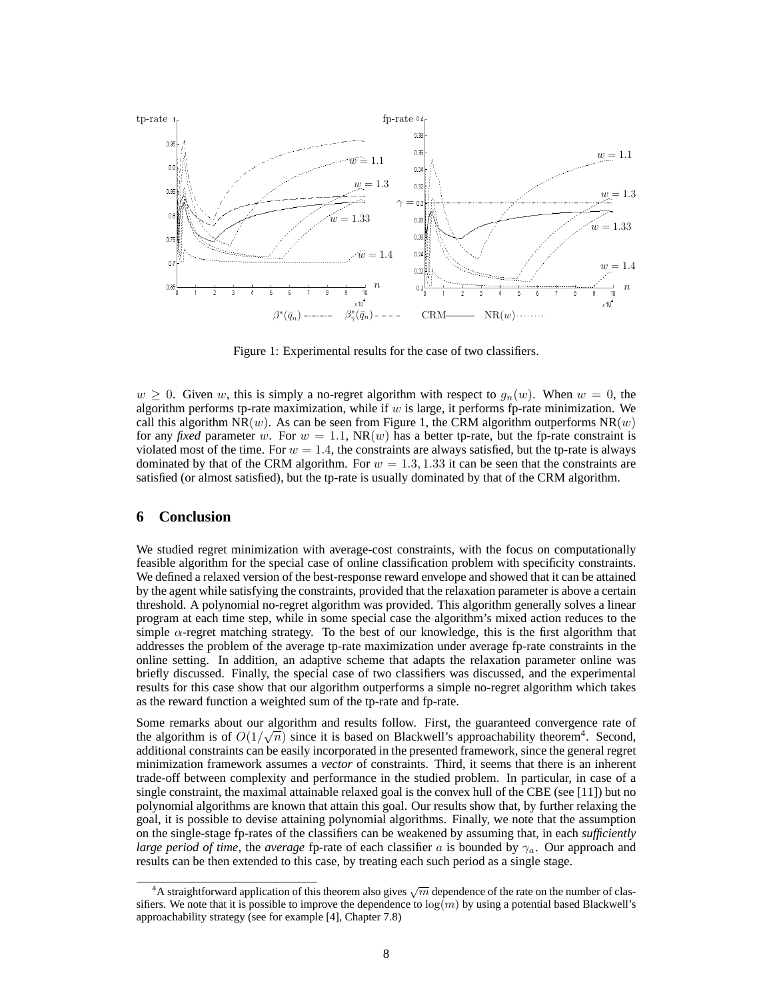

Figure 1: Experimental results for the case of two classifiers.

 $w \geq 0$ . Given w, this is simply a no-regret algorithm with respect to  $g_n(w)$ . When  $w = 0$ , the algorithm performs tp-rate maximization, while if  $w$  is large, it performs fp-rate minimization. We call this algorithm NR(w). As can be seen from Figure 1, the CRM algorithm outperforms  $NR(w)$ for any *fixed* parameter w. For  $w = 1.1$ ,  $NR(w)$  has a better tp-rate, but the fp-rate constraint is violated most of the time. For  $w = 1.4$ , the constraints are always satisfied, but the tp-rate is always dominated by that of the CRM algorithm. For  $w = 1.3, 1.33$  it can be seen that the constraints are satisfied (or almost satisfied), but the tp-rate is usually dominated by that of the CRM algorithm.

### **6 Conclusion**

We studied regret minimization with average-cost constraints, with the focus on computationally feasible algorithm for the special case of online classification problem with specificity constraints. We defined a relaxed version of the best-response reward envelope and showed that it can be attained by the agent while satisfying the constraints, provided that the relaxation parameter is above a certain threshold. A polynomial no-regret algorithm was provided. This algorithm generally solves a linear program at each time step, while in some special case the algorithm's mixed action reduces to the simple  $\alpha$ -regret matching strategy. To the best of our knowledge, this is the first algorithm that addresses the problem of the average tp-rate maximization under average fp-rate constraints in the online setting. In addition, an adaptive scheme that adapts the relaxation parameter online was briefly discussed. Finally, the special case of two classifiers was discussed, and the experimental results for this case show that our algorithm outperforms a simple no-regret algorithm which takes as the reward function a weighted sum of the tp-rate and fp-rate.

Some remarks about our algorithm and results follow. First, the guaranteed convergence rate of the algorithm is of  $O(1/\sqrt{n})$  since it is based on Blackwell's approachability theorem<sup>4</sup>. Second, additional constraints can be easily incorporated in the presented framework, since the general regret minimization framework assumes a *vector* of constraints. Third, it seems that there is an inherent trade-off between complexity and performance in the studied problem. In particular, in case of a single constraint, the maximal attainable relaxed goal is the convex hull of the CBE (see [11]) but no polynomial algorithms are known that attain this goal. Our results show that, by further relaxing the goal, it is possible to devise attaining polynomial algorithms. Finally, we note that the assumption on the single-stage fp-rates of the classifiers can be weakened by assuming that, in each *sufficiently large period of time*, the *average* fp-rate of each classifier a is bounded by  $\gamma_a$ . Our approach and results can be then extended to this case, by treating each such period as a single stage.

<sup>&</sup>lt;sup>4</sup>A straightforward application of this theorem also gives  $\sqrt{m}$  dependence of the rate on the number of classifiers. We note that it is possible to improve the dependence to  $log(m)$  by using a potential based Blackwell's approachability strategy (see for example [4], Chapter 7.8)